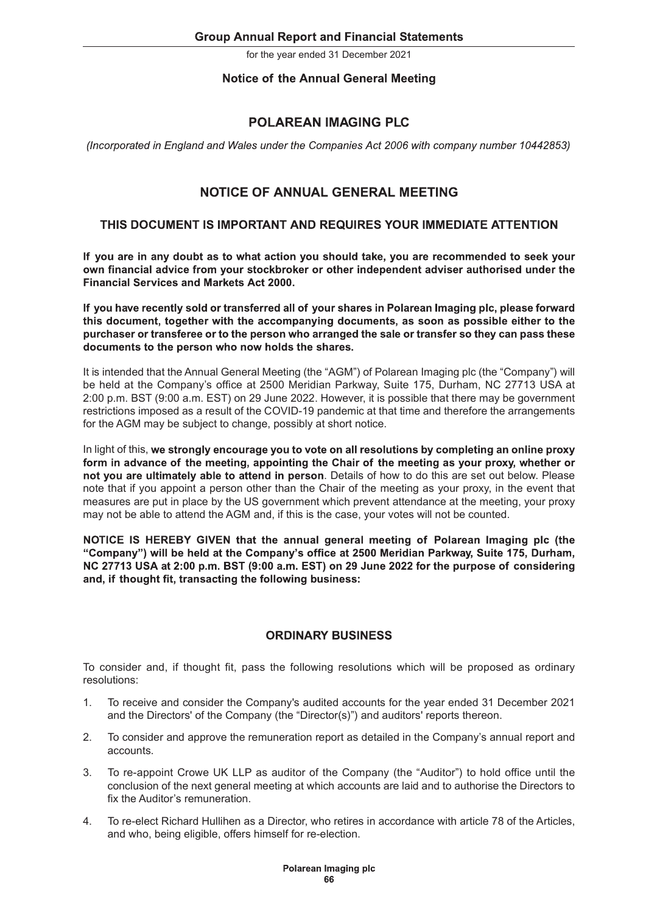# **Notice of the Annual General Meeting**

# **POLAREAN IMAGING PLC**

(Incorporated in England and Wales under the Companies Act 2006 with company number 10442853)

# NOTICE OF ANNUAL GENERAL MEETING

# THIS DOCUMENT IS IMPORTANT AND REQUIRES YOUR IMMEDIATE ATTENTION

If you are in any doubt as to what action you should take, you are recommended to seek your own financial advice from your stockbroker or other independent adviser authorised under the **Financial Services and Markets Act 2000.** 

If you have recently sold or transferred all of your shares in Polarean Imaging plc, please forward this document, together with the accompanying documents, as soon as possible either to the purchaser or transferee or to the person who arranged the sale or transfer so they can pass these documents to the person who now holds the shares.

It is intended that the Annual General Meeting (the "AGM") of Polarean Imaging plc (the "Company") will be held at the Company's office at 2500 Meridian Parkway, Suite 175, Durham, NC 27713 USA at 2:00 p.m. BST (9:00 a.m. EST) on 29 June 2022. However, it is possible that there may be government restrictions imposed as a result of the COVID-19 pandemic at that time and therefore the arrangements for the AGM may be subject to change, possibly at short notice.

In light of this, we strongly encourage you to vote on all resolutions by completing an online proxy form in advance of the meeting, appointing the Chair of the meeting as your proxy, whether or not you are ultimately able to attend in person. Details of how to do this are set out below. Please note that if you appoint a person other than the Chair of the meeting as your proxy, in the event that measures are put in place by the US government which prevent attendance at the meeting, your proxy may not be able to attend the AGM and, if this is the case, your votes will not be counted.

NOTICE IS HEREBY GIVEN that the annual general meeting of Polarean Imaging plc (the "Company") will be held at the Company's office at 2500 Meridian Parkway, Suite 175, Durham, NC 27713 USA at 2:00 p.m. BST (9:00 a.m. EST) on 29 June 2022 for the purpose of considering and, if thought fit, transacting the following business:

# **ORDINARY BUSINESS**

To consider and, if thought fit, pass the following resolutions which will be proposed as ordinary resolutions:

- 1. To receive and consider the Company's audited accounts for the year ended 31 December 2021 and the Directors' of the Company (the "Director(s)") and auditors' reports thereon.
- 2. To consider and approve the remuneration report as detailed in the Company's annual report and accounts.
- 3. To re-appoint Crowe UK LLP as auditor of the Company (the "Auditor") to hold office until the conclusion of the next general meeting at which accounts are laid and to authorise the Directors to fix the Auditor's remuneration
- 4. To re-elect Richard Hullihen as a Director, who retires in accordance with article 78 of the Articles, and who, being eligible, offers himself for re-election.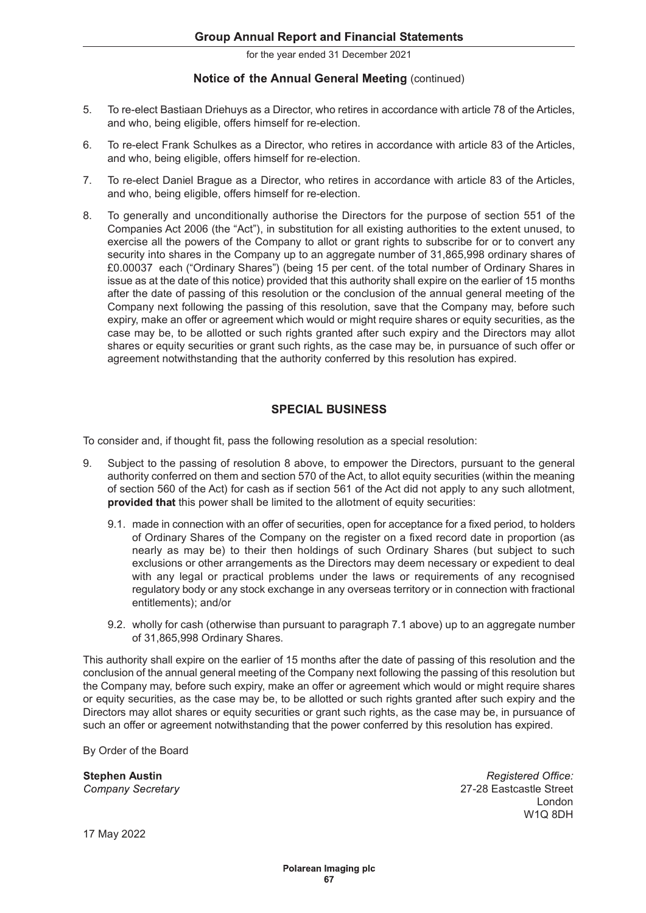# Notice of the Annual General Meeting (continued)

- 5. To re-elect Bastiaan Driehuys as a Director, who retires in accordance with article 78 of the Articles, and who, being eligible, offers himself for re-election.
- 6. To re-elect Frank Schulkes as a Director, who retires in accordance with article 83 of the Articles, and who, being eligible, offers himself for re-election.
- 7. To re-elect Daniel Brague as a Director, who retires in accordance with article 83 of the Articles, and who, being eligible, offers himself for re-election.
- 8. To generally and unconditionally authorise the Directors for the purpose of section 551 of the Companies Act 2006 (the "Act"), in substitution for all existing authorities to the extent unused, to exercise all the powers of the Company to allot or grant rights to subscribe for or to convert any security into shares in the Company up to an aggregate number of 31,865,998 ordinary shares of £0.00037 each ("Ordinary Shares") (being 15 per cent. of the total number of Ordinary Shares in issue as at the date of this notice) provided that this authority shall expire on the earlier of 15 months after the date of passing of this resolution or the conclusion of the annual general meeting of the Company next following the passing of this resolution, save that the Company may, before such expiry, make an offer or agreement which would or might require shares or equity securities, as the case may be, to be allotted or such rights granted after such expiry and the Directors may allot shares or equity securities or grant such rights, as the case may be, in pursuance of such offer or agreement notwithstanding that the authority conferred by this resolution has expired.

# **SPECIAL BUSINESS**

To consider and, if thought fit, pass the following resolution as a special resolution:

- 9. Subject to the passing of resolution 8 above, to empower the Directors, pursuant to the general authority conferred on them and section 570 of the Act, to allot equity securities (within the meaning of section 560 of the Act) for cash as if section 561 of the Act did not apply to any such allotment, provided that this power shall be limited to the allotment of equity securities:
	- 9.1. made in connection with an offer of securities, open for acceptance for a fixed period, to holders of Ordinary Shares of the Company on the register on a fixed record date in proportion (as nearly as may be) to their then holdings of such Ordinary Shares (but subject to such exclusions or other arrangements as the Directors may deem necessary or expedient to deal with any legal or practical problems under the laws or requirements of any recognised regulatory body or any stock exchange in any overseas territory or in connection with fractional entitlements); and/or
	- 9.2. wholly for cash (otherwise than pursuant to paragraph 7.1 above) up to an aggregate number of 31,865,998 Ordinary Shares.

This authority shall expire on the earlier of 15 months after the date of passing of this resolution and the conclusion of the annual general meeting of the Company next following the passing of this resolution but the Company may, before such expiry, make an offer or agreement which would or might require shares or equity securities, as the case may be, to be allotted or such rights granted after such expiry and the Directors may allot shares or equity securities or grant such rights, as the case may be, in pursuance of such an offer or agreement notwithstanding that the power conferred by this resolution has expired.

By Order of the Board

**Stephen Austin** Company Secretary

Registered Office: 27-28 Eastcastle Street London windows windows windows windows windows windows windows windows windows windows windows windows windows window

17 May 2022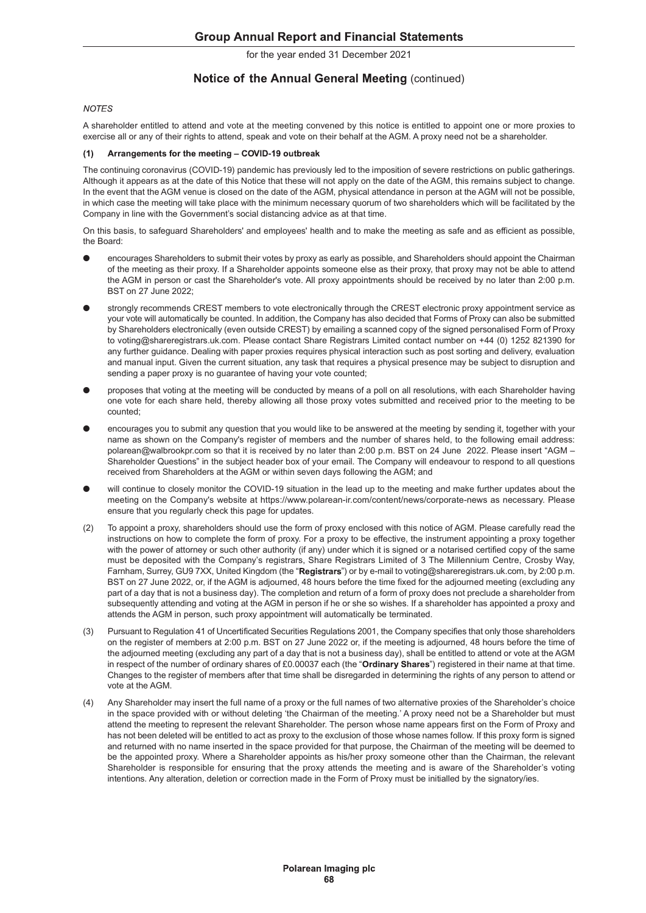#### **Notice of the Annual General Meeting (continued)**

#### **NOTES**

A shareholder entitled to attend and vote at the meeting convened by this notice is entitled to appoint one or more proxies to exercise all or any of their rights to attend, speak and vote on their behalf at the AGM. A proxy need not be a shareholder.

#### Arrangements for the meeting - COVID-19 outbreak  $(1)$

The continuing coronavirus (COVID-19) pandemic has previously led to the imposition of severe restrictions on public gatherings. Although it appears as at the date of this Notice that these will not apply on the date of the AGM, this remains subject to change. In the event that the AGM venue is closed on the date of the AGM, physical attendance in person at the AGM will not be possible, in which case the meeting will take place with the minimum necessary quorum of two shareholders which will be facilitated by the Company in line with the Government's social distancing advice as at that time.

On this basis, to safeguard Shareholders' and employees' health and to make the meeting as safe and as efficient as possible, the Board:

- l encourages Shareholders to submit their votes by proxy as early as possible, and Shareholders should appoint the Chairman of the meeting as their proxy. If a Shareholder appoints someone else as their proxy, that proxy may not be able to attend the AGM in person or cast the Shareholder's vote. All proxy appointments should be received by no later than 2:00 p.m. BST on 27 June 2022;
- strongly recommends CREST members to vote electronically through the CREST electronic proxy appointment service as your vote will automatically be counted. In addition, the Company has also decided that Forms of Proxy can also be submitted by Shareholders electronically (even outside CREST) by emailing a scanned copy of the signed personalised Form of Proxy to voting@shareregistrars.uk.com. Please contact Share Registrars Limited contact number on +44 (0) 1252 821390 for any further guidance. Dealing with paper proxies requires physical interaction such as post sorting and delivery, evaluation and manual input. Given the current situation, any task that requires a physical presence may be subject to disruption and sending a paper proxy is no guarantee of having your vote counted;
- l proposes that voting at the meeting will be conducted by means of a poll on all resolutions, with each Shareholder having one vote for each share held, thereby allowing all those proxy votes submitted and received prior to the meeting to be counted;
- encourages you to submit any question that you would like to be answered at the meeting by sending it, together with your name as shown on the Company's register of members and the number of shares held, to the following email address: polarean@walbrookpr.com so that it is received by no later than 2:00 p.m. BST on 24 June 2022. Please insert "AGM -Shareholder Questions" in the subject header box of your email. The Company will endeavour to respond to all questions received from Shareholders at the AGM or within seven days following the AGM; and
- will continue to closely monitor the COVID-19 situation in the lead up to the meeting and make further updates about the meeting on the Company's website at https://www.polarean-ir.com/content/news/corporate-news as necessary. Please ensure that you regularly check this page for updates.
- the AGM in person or central control to the Form of proxy appointments should be received by no leter than 200 p.m.<br>BST on 27 June 2022 car, if the AGM in agreements and the term of Proxy appointments and the value of Prox instructions on how to complete the form of proxy. For a proxy to be effective, the instrument appointing a proxy together with the power of attorney or such other authority (if any) under which it is signed or a notarised certified copy of the same must be deposited with the Companys registrars, Share Registrars Limited of 3 The Millennium Centre, Crosby Way, Farnham, Surrey, GU9 7XX, United Kingdom (the "Registrars") or by e-mail to voting@shareregistrars.uk.com, by 2:00 p.m. BST on 27 June 2022, or, if the AGM is adjourned, 48 hours before the time fixed for the adjourned meeting (excluding any part of a day that is not a business day). The completion and return of a form of proxy does not preclude a shareholder from subsequently attending and voting at the AGM in person if he or she so wishes. If a shareholder has appointed a proxy and attends the AGM in person, such proxy appointment will automatically be terminated. Company to the meeting will be conducted by means of a polion all resolutions, with each Shareholder having on one of the card share held, thereby allowing all those proxy votes submitted and received prior to the meeting platean@wealtookproom so that it is received by no later then 2.00 p.m. BST on 24 June 2022. Please insert "AQM<br>
will conduct the full name of a proximity and the AGM or within as ven day following the AGM. And<br>
will condu
- on the register of members at 2:00 p.m. BST on 27 June 2022 or, if the meeting is adjourned, 48 hours before the time of the adjourned meeting (excluding any part of a day that is not a business day), shall be entitled to attend or vote at the AGM in respect of the number of ordinary shares of £0.00037 each (the "Ordinary Shares") registered in their name at that time. Changes to the register of members after that time shall be disregarded in determining the rights of any person to attend or vote at the AGM.
- in the space provided with or without deleting 'the Chairman of the meeting.' A proxy need not be a Shareholder but must attend the meeting to represent the relevant Shareholder. The person whose name appears first on the Form of Proxy and has not been deleted will be entitled to act as proxy to the exclusion of those whose names follow. If this proxy form is signed and returned with no name inserted in the space provided for that purpose, the Chairman of the meeting will be deemed to be the appointed proxy. Where a Shareholder appoints as his/her proxy someone other than the Chairman, the relevant Shareholder is responsible for ensuring that the proxy attends the meeting and is aware of the Shareholder's voting intentions. Any alteration, deletion or correction made in the Form of Proxy must be initialled by the signatory/ies.